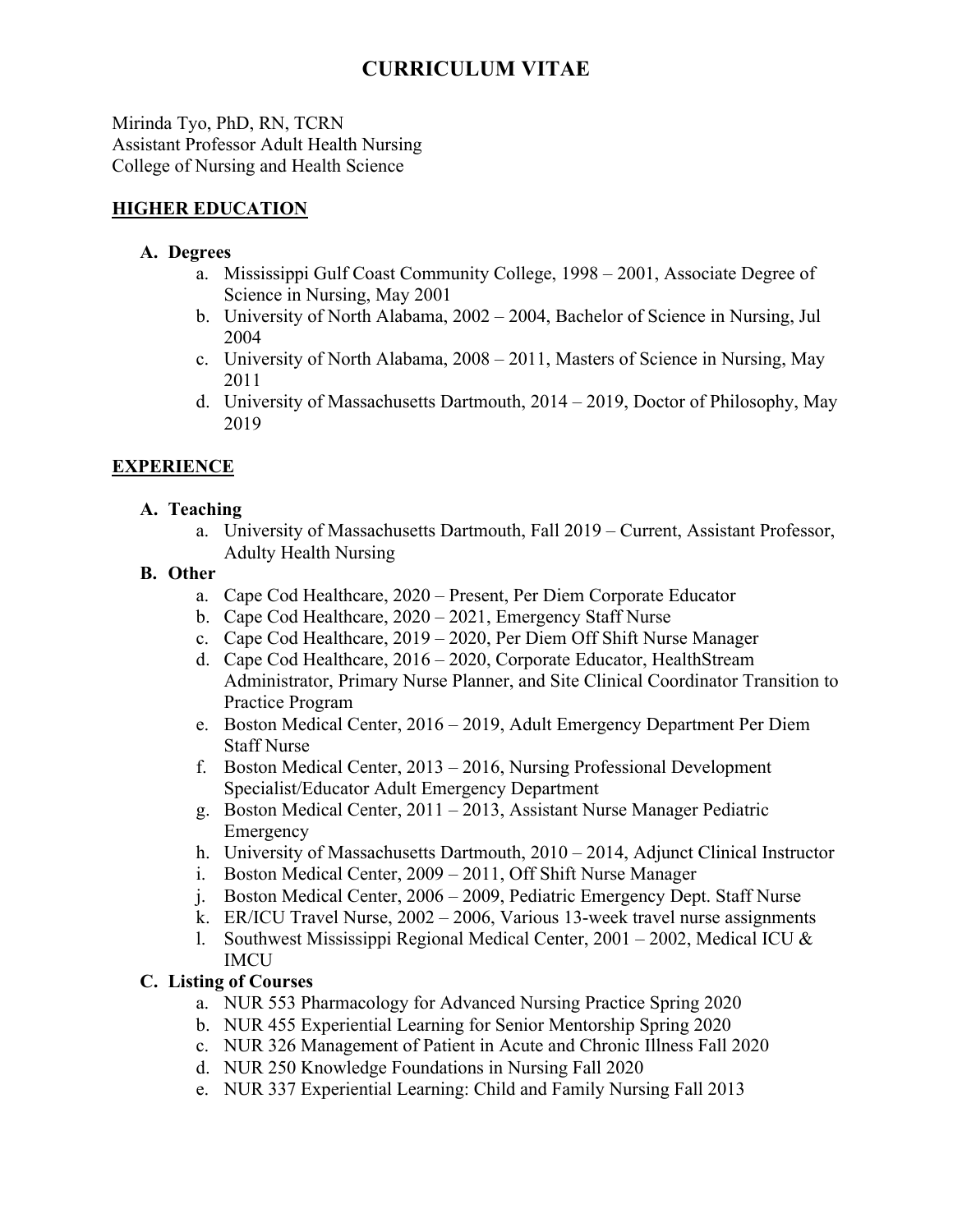Mirinda Tyo, PhD, RN, TCRN Assistant Professor Adult Health Nursing College of Nursing and Health Science

### **HIGHER EDUCATION**

#### **A. Degrees**

- a. Mississippi Gulf Coast Community College, 1998 2001, Associate Degree of Science in Nursing, May 2001
- b. University of North Alabama, 2002 2004, Bachelor of Science in Nursing, Jul 2004
- c. University of North Alabama, 2008 2011, Masters of Science in Nursing, May 2011
- d. University of Massachusetts Dartmouth, 2014 2019, Doctor of Philosophy, May 2019

# **EXPERIENCE**

#### **A. Teaching**

a. University of Massachusetts Dartmouth, Fall 2019 – Current, Assistant Professor, Adulty Health Nursing

#### **B. Other**

- a. Cape Cod Healthcare, 2020 Present, Per Diem Corporate Educator
- b. Cape Cod Healthcare, 2020 2021, Emergency Staff Nurse
- c. Cape Cod Healthcare, 2019 2020, Per Diem Off Shift Nurse Manager
- d. Cape Cod Healthcare, 2016 2020, Corporate Educator, HealthStream Administrator, Primary Nurse Planner, and Site Clinical Coordinator Transition to Practice Program
- e. Boston Medical Center, 2016 2019, Adult Emergency Department Per Diem Staff Nurse
- f. Boston Medical Center, 2013 2016, Nursing Professional Development Specialist/Educator Adult Emergency Department
- g. Boston Medical Center, 2011 2013, Assistant Nurse Manager Pediatric Emergency
- h. University of Massachusetts Dartmouth, 2010 2014, Adjunct Clinical Instructor
- i. Boston Medical Center, 2009 2011, Off Shift Nurse Manager
- j. Boston Medical Center, 2006 2009, Pediatric Emergency Dept. Staff Nurse
- k. ER/ICU Travel Nurse, 2002 2006, Various 13-week travel nurse assignments
- 1. Southwest Mississippi Regional Medical Center,  $2001 2002$ , Medical ICU & IMCU

# **C. Listing of Courses**

- a. NUR 553 Pharmacology for Advanced Nursing Practice Spring 2020
- b. NUR 455 Experiential Learning for Senior Mentorship Spring 2020
- c. NUR 326 Management of Patient in Acute and Chronic Illness Fall 2020
- d. NUR 250 Knowledge Foundations in Nursing Fall 2020
- e. NUR 337 Experiential Learning: Child and Family Nursing Fall 2013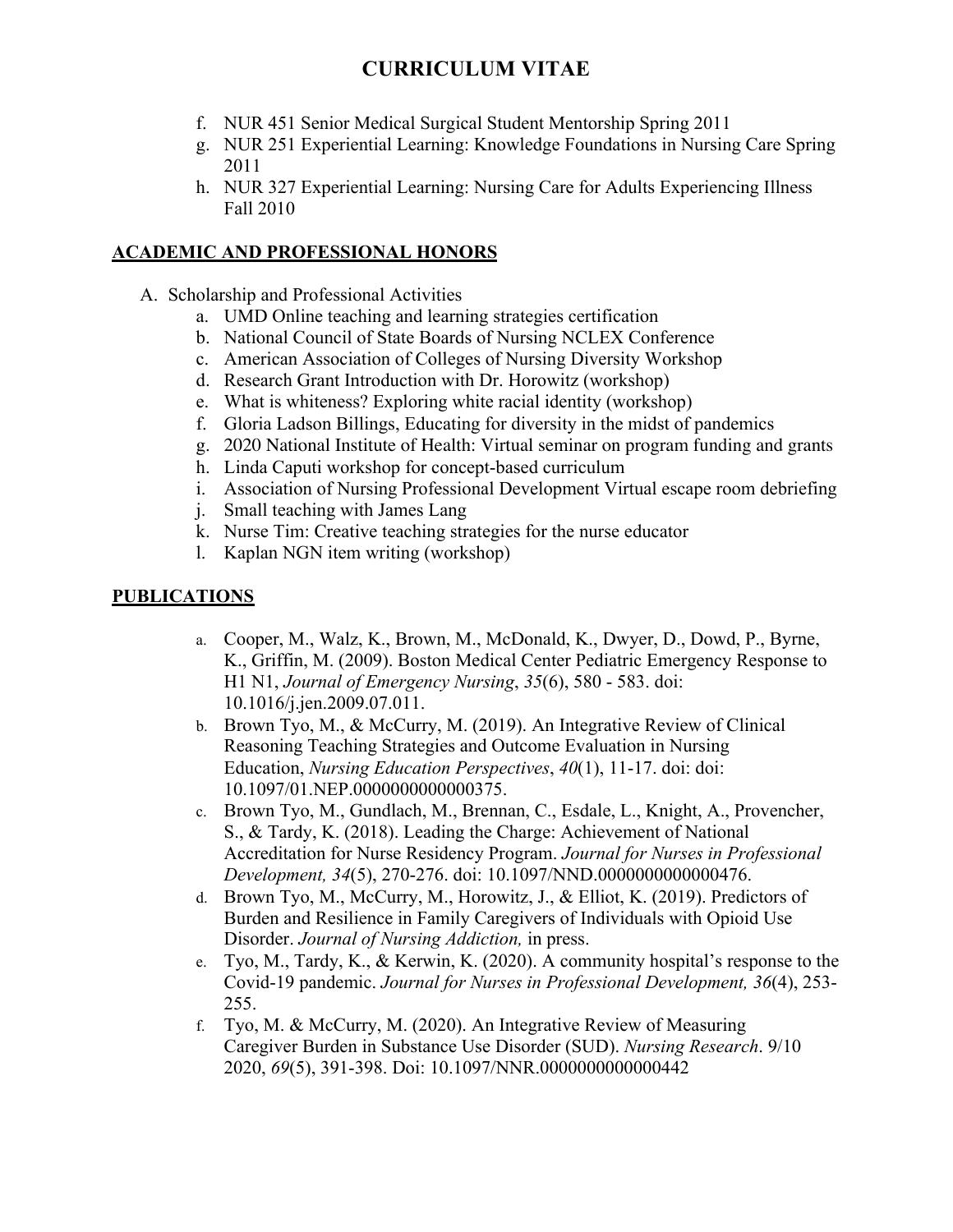- f. NUR 451 Senior Medical Surgical Student Mentorship Spring 2011
- g. NUR 251 Experiential Learning: Knowledge Foundations in Nursing Care Spring 2011
- h. NUR 327 Experiential Learning: Nursing Care for Adults Experiencing Illness Fall 2010

#### **ACADEMIC AND PROFESSIONAL HONORS**

- A. Scholarship and Professional Activities
	- a. UMD Online teaching and learning strategies certification
	- b. National Council of State Boards of Nursing NCLEX Conference
	- c. American Association of Colleges of Nursing Diversity Workshop
	- d. Research Grant Introduction with Dr. Horowitz (workshop)
	- e. What is whiteness? Exploring white racial identity (workshop)
	- f. Gloria Ladson Billings, Educating for diversity in the midst of pandemics
	- g. 2020 National Institute of Health: Virtual seminar on program funding and grants
	- h. Linda Caputi workshop for concept-based curriculum
	- i. Association of Nursing Professional Development Virtual escape room debriefing
	- j. Small teaching with James Lang
	- k. Nurse Tim: Creative teaching strategies for the nurse educator
	- l. Kaplan NGN item writing (workshop)

#### **PUBLICATIONS**

- a. Cooper, M., Walz, K., Brown, M., McDonald, K., Dwyer, D., Dowd, P., Byrne, K., Griffin, M. (2009). Boston Medical Center Pediatric Emergency Response to H1 N1, *Journal of Emergency Nursing*, *35*(6), 580 - 583. doi: 10.1016/j.jen.2009.07.011.
- b. Brown Tyo, M., & McCurry, M. (2019). An Integrative Review of Clinical Reasoning Teaching Strategies and Outcome Evaluation in Nursing Education, *Nursing Education Perspectives*, *40*(1), 11-17. doi: doi: 10.1097/01.NEP.0000000000000375.
- c. Brown Tyo, M., Gundlach, M., Brennan, C., Esdale, L., Knight, A., Provencher, S., & Tardy, K. (2018). Leading the Charge: Achievement of National Accreditation for Nurse Residency Program. *Journal for Nurses in Professional Development, 34*(5), 270-276. doi: 10.1097/NND.0000000000000476.
- d. Brown Tyo, M., McCurry, M., Horowitz, J., & Elliot, K. (2019). Predictors of Burden and Resilience in Family Caregivers of Individuals with Opioid Use Disorder. *Journal of Nursing Addiction,* in press.
- e. Tyo, M., Tardy, K., & Kerwin, K. (2020). A community hospital's response to the Covid-19 pandemic. *Journal for Nurses in Professional Development, 36*(4), 253- 255.
- f. Tyo, M. & McCurry, M. (2020). An Integrative Review of Measuring Caregiver Burden in Substance Use Disorder (SUD). *Nursing Research*. 9/10 2020, *69*(5), 391-398. Doi: 10.1097/NNR.0000000000000442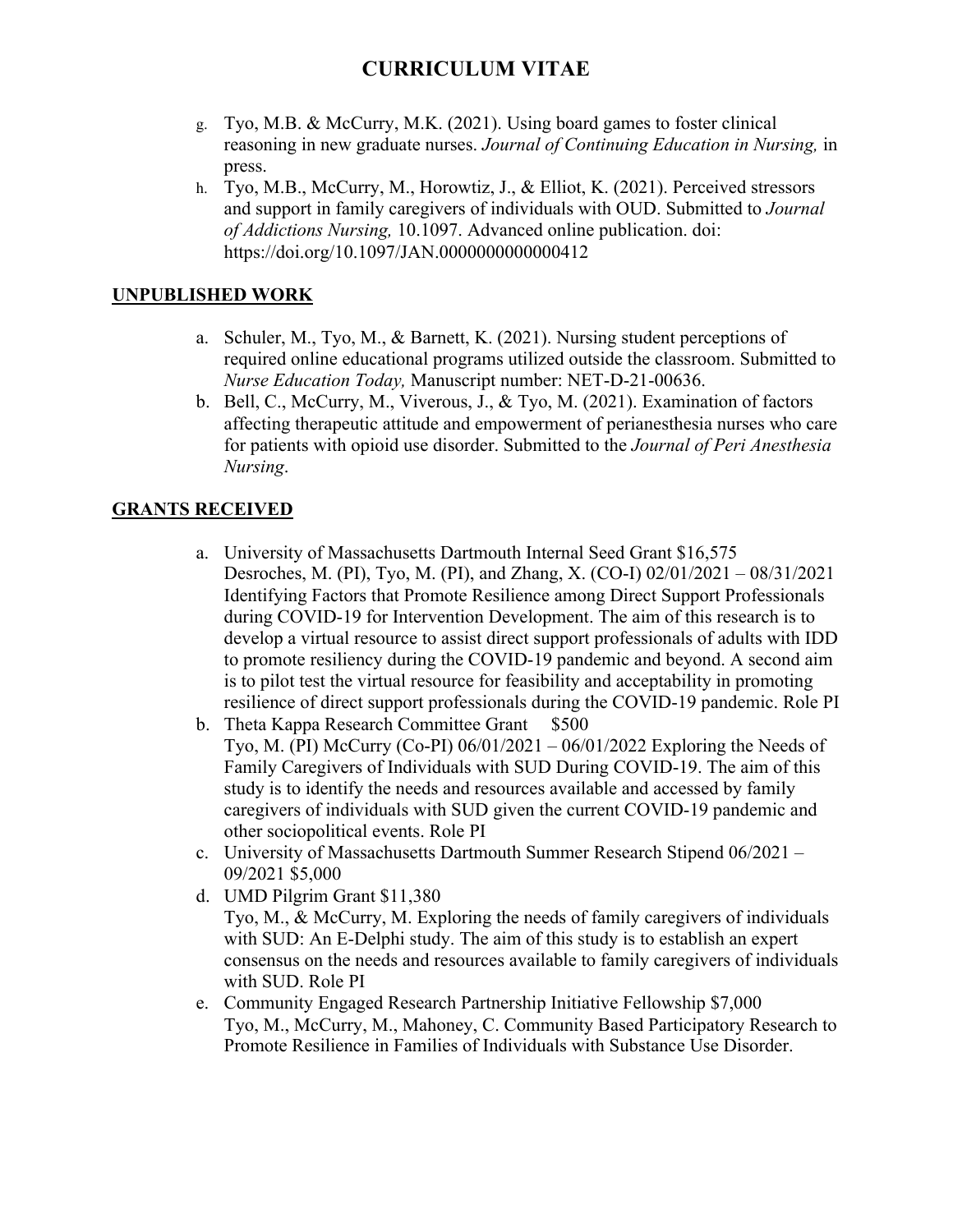- g. Tyo, M.B. & McCurry, M.K. (2021). Using board games to foster clinical reasoning in new graduate nurses. *Journal of Continuing Education in Nursing,* in press.
- h. Tyo, M.B., McCurry, M., Horowtiz, J., & Elliot, K. (2021). Perceived stressors and support in family caregivers of individuals with OUD. Submitted to *Journal of Addictions Nursing,* 10.1097. Advanced online publication. doi: https://doi.org/10.1097/JAN.0000000000000412

# **UNPUBLISHED WORK**

- a. Schuler, M., Tyo, M., & Barnett, K. (2021). Nursing student perceptions of required online educational programs utilized outside the classroom. Submitted to *Nurse Education Today,* Manuscript number: NET-D-21-00636.
- b. Bell, C., McCurry, M., Viverous, J., & Tyo, M. (2021). Examination of factors affecting therapeutic attitude and empowerment of perianesthesia nurses who care for patients with opioid use disorder. Submitted to the *Journal of Peri Anesthesia Nursing*.

#### **GRANTS RECEIVED**

- a. University of Massachusetts Dartmouth Internal Seed Grant \$16,575 Desroches, M. (PI), Tyo, M. (PI), and Zhang, X. (CO-I) 02/01/2021 – 08/31/2021 Identifying Factors that Promote Resilience among Direct Support Professionals during COVID-19 for Intervention Development. The aim of this research is to develop a virtual resource to assist direct support professionals of adults with IDD to promote resiliency during the COVID-19 pandemic and beyond. A second aim is to pilot test the virtual resource for feasibility and acceptability in promoting resilience of direct support professionals during the COVID-19 pandemic. Role PI
- b. Theta Kappa Research Committee Grant \$500 Tyo, M. (PI) McCurry (Co-PI) 06/01/2021 – 06/01/2022 Exploring the Needs of Family Caregivers of Individuals with SUD During COVID-19. The aim of this study is to identify the needs and resources available and accessed by family caregivers of individuals with SUD given the current COVID-19 pandemic and other sociopolitical events. Role PI
- c. University of Massachusetts Dartmouth Summer Research Stipend 06/2021 09/2021 \$5,000
- d. UMD Pilgrim Grant \$11,380
	- Tyo, M., & McCurry, M. Exploring the needs of family caregivers of individuals with SUD: An E-Delphi study. The aim of this study is to establish an expert consensus on the needs and resources available to family caregivers of individuals with SUD. Role PI
- e. Community Engaged Research Partnership Initiative Fellowship \$7,000 Tyo, M., McCurry, M., Mahoney, C. Community Based Participatory Research to Promote Resilience in Families of Individuals with Substance Use Disorder.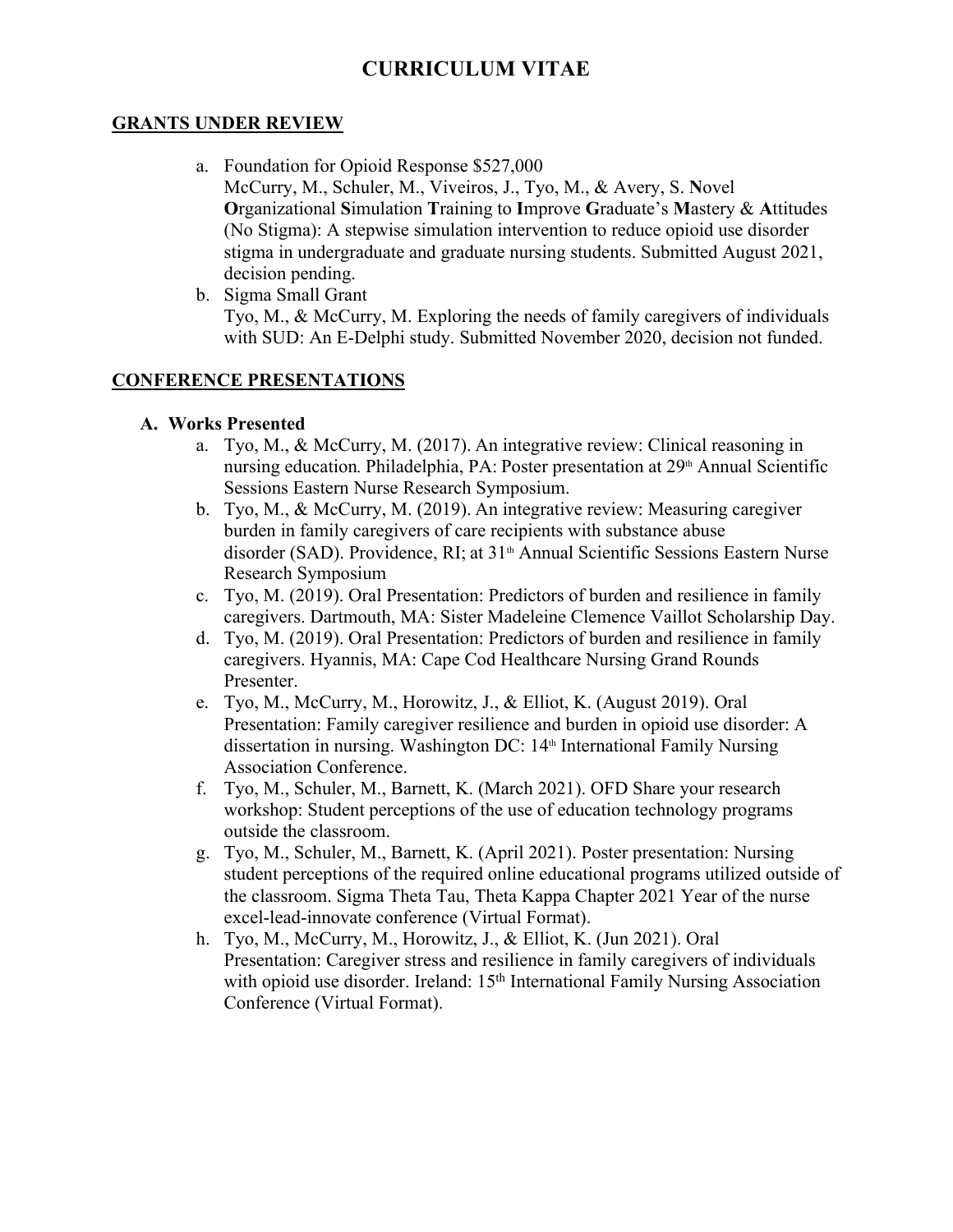#### **GRANTS UNDER REVIEW**

- a. Foundation for Opioid Response \$527,000 McCurry, M., Schuler, M., Viveiros, J., Tyo, M., & Avery, S. **N**ovel **O**rganizational **S**imulation **T**raining to **I**mprove **G**raduate's **M**astery & **A**ttitudes (No Stigma): A stepwise simulation intervention to reduce opioid use disorder stigma in undergraduate and graduate nursing students. Submitted August 2021, decision pending.
- b. Sigma Small Grant Tyo, M., & McCurry, M. Exploring the needs of family caregivers of individuals with SUD: An E-Delphi study. Submitted November 2020, decision not funded.

### **CONFERENCE PRESENTATIONS**

#### **A. Works Presented**

- a. Tyo, M., & McCurry, M. (2017). An integrative review: Clinical reasoning in nursing education. Philadelphia, PA: Poster presentation at 29<sup>th</sup> Annual Scientific Sessions Eastern Nurse Research Symposium.
- b. Tyo, M., & McCurry, M. (2019). An integrative review: Measuring caregiver burden in family caregivers of care recipients with substance abuse disorder (SAD). Providence, RI; at 31<sup>th</sup> Annual Scientific Sessions Eastern Nurse Research Symposium
- c. Tyo, M. (2019). Oral Presentation: Predictors of burden and resilience in family caregivers. Dartmouth, MA: Sister Madeleine Clemence Vaillot Scholarship Day.
- d. Tyo, M. (2019). Oral Presentation: Predictors of burden and resilience in family caregivers. Hyannis, MA: Cape Cod Healthcare Nursing Grand Rounds Presenter.
- e. Tyo, M., McCurry, M., Horowitz, J., & Elliot, K. (August 2019). Oral Presentation: Family caregiver resilience and burden in opioid use disorder: A dissertation in nursing. Washington DC: 14<sup>th</sup> International Family Nursing Association Conference.
- f. Tyo, M., Schuler, M., Barnett, K. (March 2021). OFD Share your research workshop: Student perceptions of the use of education technology programs outside the classroom.
- g. Tyo, M., Schuler, M., Barnett, K. (April 2021). Poster presentation: Nursing student perceptions of the required online educational programs utilized outside of the classroom. Sigma Theta Tau, Theta Kappa Chapter 2021 Year of the nurse excel-lead-innovate conference (Virtual Format).
- h. Tyo, M., McCurry, M., Horowitz, J., & Elliot, K. (Jun 2021). Oral Presentation: Caregiver stress and resilience in family caregivers of individuals with opioid use disorder. Ireland: 15<sup>th</sup> International Family Nursing Association Conference (Virtual Format).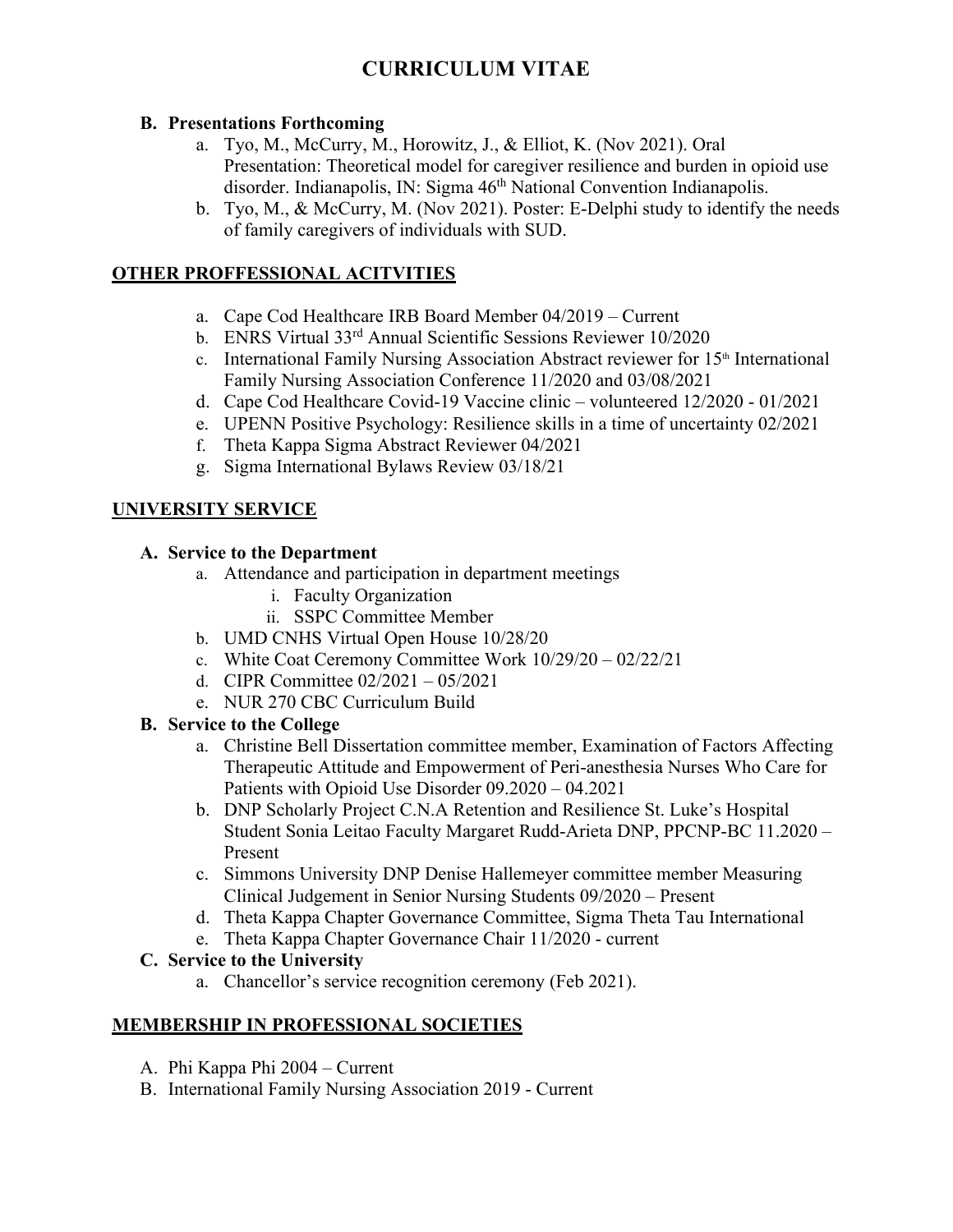#### **B. Presentations Forthcoming**

- a. Tyo, M., McCurry, M., Horowitz, J., & Elliot, K. (Nov 2021). Oral Presentation: Theoretical model for caregiver resilience and burden in opioid use disorder. Indianapolis, IN: Sigma 46<sup>th</sup> National Convention Indianapolis.
- b. Tyo, M., & McCurry, M. (Nov 2021). Poster: E-Delphi study to identify the needs of family caregivers of individuals with SUD.

# **OTHER PROFFESSIONAL ACITVITIES**

- a. Cape Cod Healthcare IRB Board Member 04/2019 Current
- b. ENRS Virtual 33rd Annual Scientific Sessions Reviewer 10/2020
- c. International Family Nursing Association Abstract reviewer for 15<sup>th</sup> International Family Nursing Association Conference 11/2020 and 03/08/2021
- d. Cape Cod Healthcare Covid-19 Vaccine clinic volunteered 12/2020 01/2021
- e. UPENN Positive Psychology: Resilience skills in a time of uncertainty 02/2021
- f. Theta Kappa Sigma Abstract Reviewer 04/2021
- g. Sigma International Bylaws Review 03/18/21

# **UNIVERSITY SERVICE**

#### **A. Service to the Department**

- a. Attendance and participation in department meetings
	- i. Faculty Organization
	- ii. SSPC Committee Member
- b. UMD CNHS Virtual Open House 10/28/20
- c. White Coat Ceremony Committee Work 10/29/20 02/22/21
- d. CIPR Committee 02/2021 05/2021
- e. NUR 270 CBC Curriculum Build

# **B. Service to the College**

- a. Christine Bell Dissertation committee member, Examination of Factors Affecting Therapeutic Attitude and Empowerment of Peri-anesthesia Nurses Who Care for Patients with Opioid Use Disorder 09.2020 – 04.2021
- b. DNP Scholarly Project C.N.A Retention and Resilience St. Luke's Hospital Student Sonia Leitao Faculty Margaret Rudd-Arieta DNP, PPCNP-BC 11.2020 – Present
- c. Simmons University DNP Denise Hallemeyer committee member Measuring Clinical Judgement in Senior Nursing Students 09/2020 – Present
- d. Theta Kappa Chapter Governance Committee, Sigma Theta Tau International
- e. Theta Kappa Chapter Governance Chair 11/2020 current

# **C. Service to the University**

a. Chancellor's service recognition ceremony (Feb 2021).

# **MEMBERSHIP IN PROFESSIONAL SOCIETIES**

- A. Phi Kappa Phi 2004 Current
- B. International Family Nursing Association 2019 Current